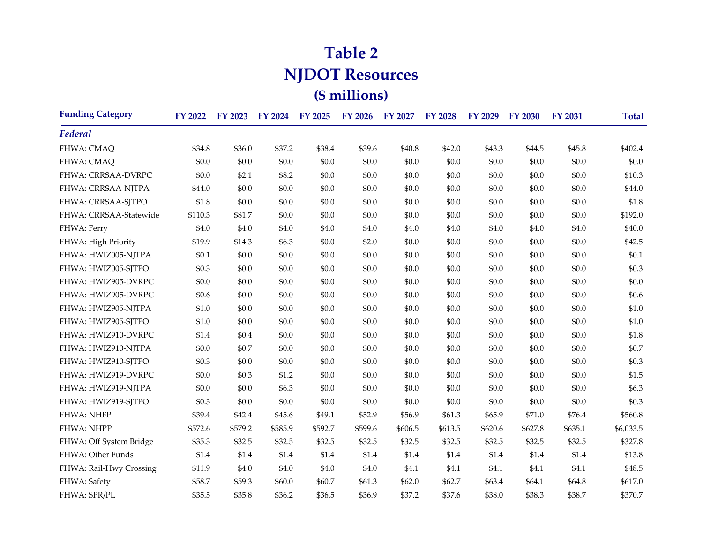## **Table 2 NJDOT Resources (\$ millions)**

| <b>Funding Category</b> | <b>FY 2022</b> | FY 2023 | <b>FY 2024</b> | <b>FY 2025</b> | <b>FY 2026</b> | <b>FY 2027</b> | <b>FY 2028</b> | <b>FY 2029</b> | <b>FY 2030</b> | <b>FY 2031</b> | <b>Total</b> |
|-------------------------|----------------|---------|----------------|----------------|----------------|----------------|----------------|----------------|----------------|----------------|--------------|
| Federal                 |                |         |                |                |                |                |                |                |                |                |              |
| FHWA: CMAQ              | \$34.8         | \$36.0  | \$37.2         | \$38.4         | \$39.6         | \$40.8         | \$42.0         | \$43.3         | \$44.5         | \$45.8         | \$402.4      |
| FHWA: CMAQ              | \$0.0          | \$0.0   | \$0.0          | \$0.0          | \$0.0          | \$0.0          | \$0.0          | \$0.0          | \$0.0          | \$0.0          | \$0.0        |
| FHWA: CRRSAA-DVRPC      | \$0.0          | \$2.1   | \$8.2          | \$0.0          | \$0.0          | \$0.0          | \$0.0          | \$0.0          | \$0.0          | \$0.0          | \$10.3       |
| FHWA: CRRSAA-NJTPA      | \$44.0         | \$0.0   | \$0.0          | \$0.0          | \$0.0          | \$0.0          | \$0.0          | \$0.0          | \$0.0          | \$0.0          | \$44.0       |
| FHWA: CRRSAA-SJTPO      | \$1.8          | \$0.0   | \$0.0          | \$0.0          | \$0.0          | \$0.0          | \$0.0          | \$0.0          | \$0.0          | \$0.0          | \$1.8        |
| FHWA: CRRSAA-Statewide  | \$110.3        | \$81.7  | \$0.0          | \$0.0          | \$0.0          | \$0.0          | \$0.0          | \$0.0          | \$0.0          | \$0.0          | \$192.0      |
| FHWA: Ferry             | \$4.0          | \$4.0   | \$4.0          | \$4.0          | \$4.0          | \$4.0          | \$4.0          | \$4.0          | \$4.0          | \$4.0          | \$40.0       |
| FHWA: High Priority     | \$19.9         | \$14.3  | \$6.3          | \$0.0          | \$2.0          | \$0.0          | \$0.0          | \$0.0          | \$0.0          | \$0.0          | \$42.5       |
| FHWA: HWIZ005-NJTPA     | \$0.1          | \$0.0   | \$0.0          | \$0.0          | \$0.0          | \$0.0          | \$0.0          | \$0.0          | \$0.0          | \$0.0          | \$0.1        |
| FHWA: HWIZ005-SJTPO     | \$0.3          | \$0.0   | \$0.0          | \$0.0          | \$0.0          | \$0.0          | \$0.0          | \$0.0          | \$0.0          | \$0.0          | \$0.3        |
| FHWA: HWIZ905-DVRPC     | \$0.0          | \$0.0   | \$0.0          | \$0.0          | \$0.0          | \$0.0          | \$0.0          | \$0.0          | \$0.0          | \$0.0          | \$0.0        |
| FHWA: HWIZ905-DVRPC     | \$0.6          | \$0.0   | \$0.0          | \$0.0          | \$0.0          | \$0.0          | \$0.0          | \$0.0          | \$0.0          | \$0.0          | \$0.6        |
| FHWA: HWIZ905-NJTPA     | \$1.0          | \$0.0   | \$0.0          | \$0.0          | \$0.0          | \$0.0          | \$0.0          | \$0.0          | \$0.0          | \$0.0          | \$1.0        |
| FHWA: HWIZ905-SJTPO     | \$1.0          | \$0.0   | \$0.0          | \$0.0          | \$0.0          | \$0.0          | \$0.0          | \$0.0          | \$0.0          | \$0.0          | \$1.0        |
| FHWA: HWIZ910-DVRPC     | \$1.4          | \$0.4   | \$0.0          | \$0.0          | \$0.0          | \$0.0          | \$0.0          | \$0.0          | \$0.0          | \$0.0          | \$1.8        |
| FHWA: HWIZ910-NJTPA     | \$0.0          | \$0.7   | \$0.0          | \$0.0          | \$0.0          | \$0.0          | \$0.0          | \$0.0          | \$0.0          | \$0.0          | \$0.7        |
| FHWA: HWIZ910-SJTPO     | \$0.3          | \$0.0   | \$0.0          | \$0.0          | \$0.0          | \$0.0          | \$0.0          | \$0.0          | \$0.0          | \$0.0          | \$0.3        |
| FHWA: HWIZ919-DVRPC     | \$0.0          | \$0.3   | \$1.2          | \$0.0          | \$0.0          | \$0.0          | \$0.0          | \$0.0          | \$0.0          | \$0.0          | \$1.5        |
| FHWA: HWIZ919-NJTPA     | \$0.0          | \$0.0   | \$6.3          | \$0.0          | \$0.0          | \$0.0          | \$0.0          | \$0.0          | \$0.0          | \$0.0          | \$6.3\$      |
| FHWA: HWIZ919-SJTPO     | \$0.3          | \$0.0   | \$0.0          | \$0.0          | \$0.0          | \$0.0          | \$0.0          | \$0.0          | \$0.0          | \$0.0          | \$0.3\$      |
| FHWA: NHFP              | \$39.4         | \$42.4  | \$45.6         | \$49.1         | \$52.9         | \$56.9         | \$61.3         | \$65.9         | \$71.0         | \$76.4         | \$560.8      |
| <b>FHWA: NHPP</b>       | \$572.6        | \$579.2 | \$585.9        | \$592.7        | \$599.6        | \$606.5        | \$613.5        | \$620.6        | \$627.8        | \$635.1        | \$6,033.5    |
| FHWA: Off System Bridge | \$35.3         | \$32.5  | \$32.5         | \$32.5         | \$32.5         | \$32.5         | \$32.5         | \$32.5         | \$32.5         | \$32.5         | \$327.8      |
| FHWA: Other Funds       | \$1.4          | \$1.4   | \$1.4          | \$1.4          | \$1.4          | \$1.4          | \$1.4          | \$1.4          | \$1.4          | \$1.4          | \$13.8       |
| FHWA: Rail-Hwy Crossing | \$11.9         | \$4.0   | \$4.0          | \$4.0          | \$4.0          | \$4.1          | \$4.1          | \$4.1          | \$4.1          | \$4.1          | \$48.5       |
| FHWA: Safety            | \$58.7         | \$59.3  | \$60.0         | \$60.7         | \$61.3         | \$62.0         | \$62.7         | \$63.4         | \$64.1         | \$64.8         | \$617.0      |
| FHWA: SPR/PL            | \$35.5         | \$35.8  | \$36.2         | \$36.5         | \$36.9         | \$37.2         | \$37.6         | \$38.0         | \$38.3         | \$38.7         | \$370.7      |